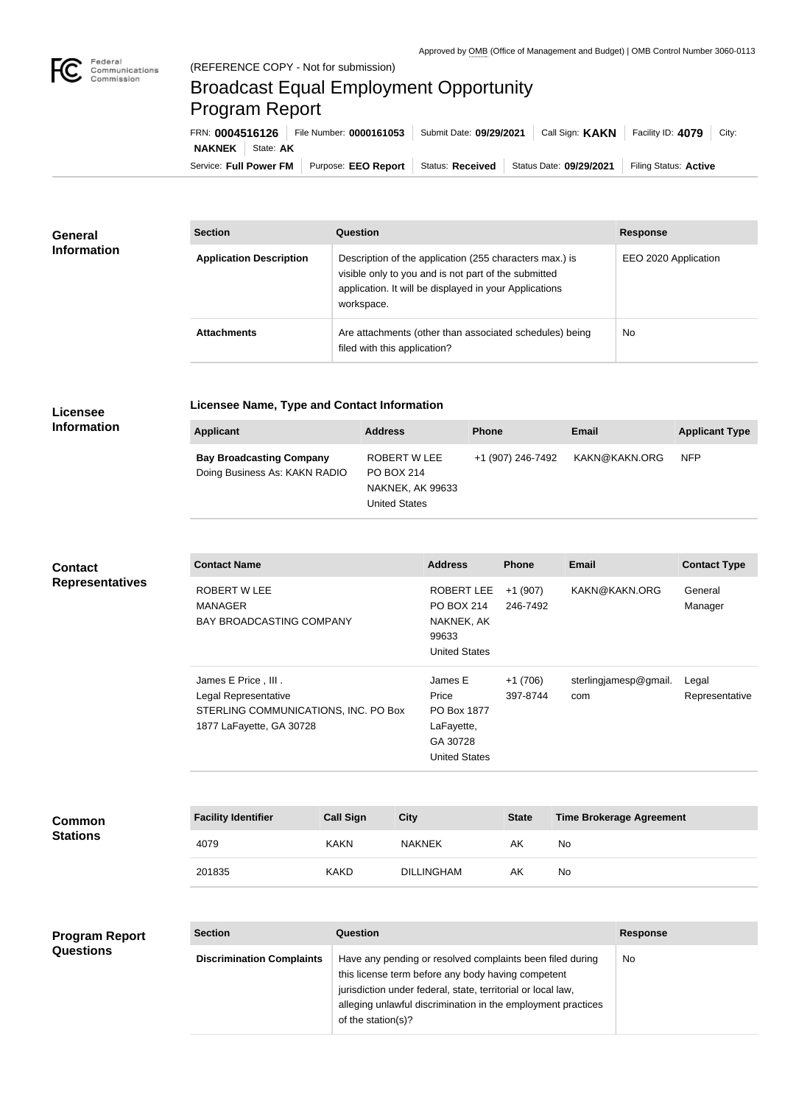

# Broadcast Equal Employment Opportunity Program Report

| File Number: 0000161053<br>FRN: 0004516126 |  | Submit Date: 09/29/2021 | Call Sign: <b>KAKN</b> | Facility ID: 4079<br>City: |                       |
|--------------------------------------------|--|-------------------------|------------------------|----------------------------|-----------------------|
| <b>NAKNEK</b>   State: <b>AK</b>           |  |                         |                        |                            |                       |
| Service: Full Power FM                     |  | Purpose: EEO Report     | Status: Received       | Status Date: 09/29/2021    | Filing Status: Active |

| General            | <b>Section</b>                 | Question                                                                                                                                                                                | <b>Response</b>      |  |
|--------------------|--------------------------------|-----------------------------------------------------------------------------------------------------------------------------------------------------------------------------------------|----------------------|--|
| <b>Information</b> | <b>Application Description</b> | Description of the application (255 characters max.) is<br>visible only to you and is not part of the submitted<br>application. It will be displayed in your Applications<br>workspace. | EEO 2020 Application |  |
|                    | <b>Attachments</b>             | Are attachments (other than associated schedules) being<br>filed with this application?                                                                                                 | <b>No</b>            |  |

#### **Licensee Information**

## **Licensee Name, Type and Contact Information**

| Applicant                                                        | <b>Address</b>                                                                | <b>Phone</b>      | Email         | <b>Applicant Type</b> |
|------------------------------------------------------------------|-------------------------------------------------------------------------------|-------------------|---------------|-----------------------|
| <b>Bay Broadcasting Company</b><br>Doing Business As: KAKN RADIO | ROBERT W LEE<br>PO BOX 214<br><b>NAKNEK, AK 99633</b><br><b>United States</b> | +1 (907) 246-7492 | KAKN@KAKN.ORG | <b>NFP</b>            |

# **Contact Representatives**

| <b>Contact Name</b>                                                                                             | <b>Address</b>                                                                    | <b>Phone</b>          | Email                        | <b>Contact Type</b>     |
|-----------------------------------------------------------------------------------------------------------------|-----------------------------------------------------------------------------------|-----------------------|------------------------------|-------------------------|
| ROBERT W LEE<br><b>MANAGER</b><br><b>BAY BROADCASTING COMPANY</b>                                               | ROBERT LEE<br><b>PO BOX 214</b><br>NAKNEK, AK<br>99633<br><b>United States</b>    | $+1(907)$<br>246-7492 | KAKN@KAKN.ORG                | General<br>Manager      |
| James E Price, III.<br>Legal Representative<br>STERLING COMMUNICATIONS, INC. PO Box<br>1877 LaFayette, GA 30728 | James E<br>Price<br>PO Box 1877<br>LaFayette,<br>GA 30728<br><b>United States</b> | $+1(706)$<br>397-8744 | sterlingjamesp@gmail.<br>com | Legal<br>Representative |

### **Common Stations**

| <b>Facility Identifier</b> | <b>Call Sign</b> | <b>City</b>       | <b>State</b> | <b>Time Brokerage Agreement</b> |
|----------------------------|------------------|-------------------|--------------|---------------------------------|
| 4079                       | <b>KAKN</b>      | <b>NAKNEK</b>     | AK           | No.                             |
| 201835                     | <b>KAKD</b>      | <b>DILLINGHAM</b> | AK           | No.                             |

#### **Section Question Response Discrimination Complaints** | Have any pending or resolved complaints been filed during this license term before any body having competent jurisdiction under federal, state, territorial or local law, alleging unlawful discrimination in the employment practices of the station(s)? No **Program Report Questions**